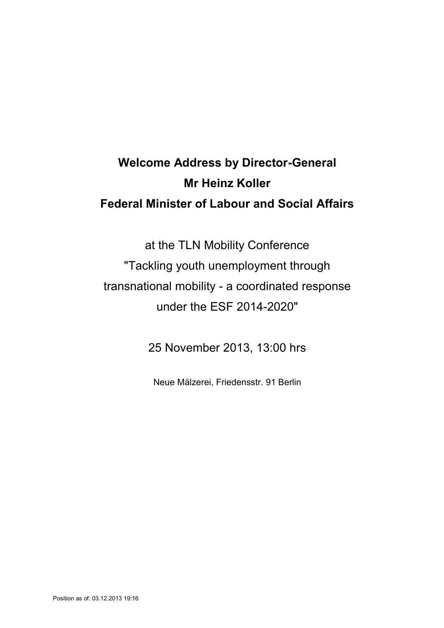## **Welcome Address by Director-General Mr Heinz Koller Federal Minister of Labour and Social Affairs**

at the TLN Mobility Conference "Tackling youth unemployment through transnational mobility - a coordinated response under the ESF 2014-2020"

25 November 2013, 13:00 hrs

Neue Mälzerei, Friedensstr. 91 Berlin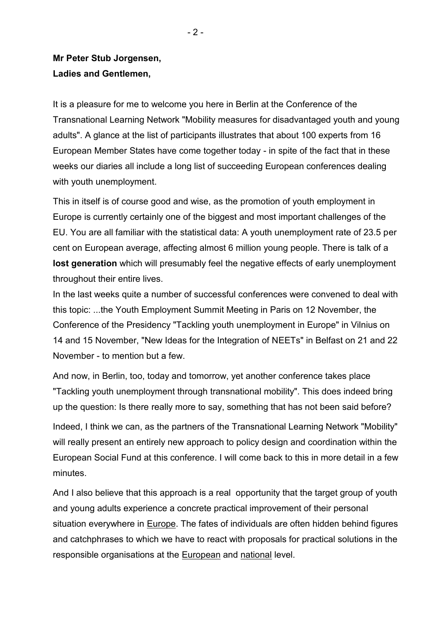## **Mr Peter Stub Jorgensen, Ladies and Gentlemen,**

It is a pleasure for me to welcome you here in Berlin at the Conference of the Transnational Learning Network "Mobility measures for disadvantaged youth and young adults". A glance at the list of participants illustrates that about 100 experts from 16 European Member States have come together today - in spite of the fact that in these weeks our diaries all include a long list of succeeding European conferences dealing with youth unemployment.

This in itself is of course good and wise, as the promotion of youth employment in Europe is currently certainly one of the biggest and most important challenges of the EU. You are all familiar with the statistical data: A youth unemployment rate of 23.5 per cent on European average, affecting almost 6 million young people. There is talk of a **lost generation** which will presumably feel the negative effects of early unemployment throughout their entire lives.

In the last weeks quite a number of successful conferences were convened to deal with this topic: ...the Youth Employment Summit Meeting in Paris on 12 November, the Conference of the Presidency "Tackling youth unemployment in Europe" in Vilnius on 14 and 15 November, "New Ideas for the Integration of NEETs" in Belfast on 21 and 22 November - to mention but a few.

And now, in Berlin, too, today and tomorrow, yet another conference takes place "Tackling youth unemployment through transnational mobility". This does indeed bring up the question: Is there really more to say, something that has not been said before?

Indeed, I think we can, as the partners of the Transnational Learning Network "Mobility" will really present an entirely new approach to policy design and coordination within the European Social Fund at this conference. I will come back to this in more detail in a few minutes.

And I also believe that this approach is a real opportunity that the target group of youth and young adults experience a concrete practical improvement of their personal situation everywhere in Europe. The fates of individuals are often hidden behind figures and catchphrases to which we have to react with proposals for practical solutions in the responsible organisations at the European and national level.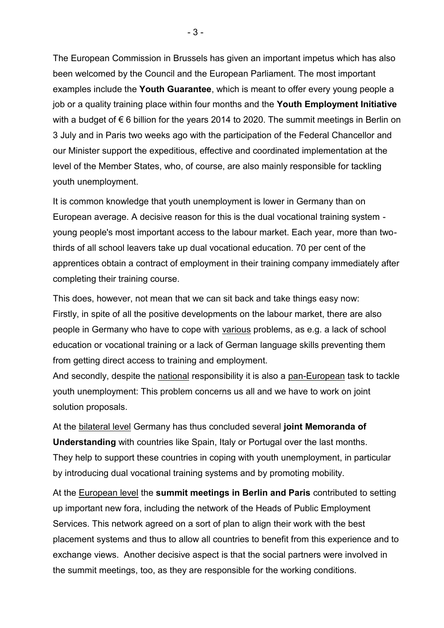The European Commission in Brussels has given an important impetus which has also been welcomed by the Council and the European Parliament. The most important examples include the **Youth Guarantee**, which is meant to offer every young people a job or a quality training place within four months and the **Youth Employment Initiative** with a budget of €6 billion for the years 2014 to 2020. The summit meetings in Berlin on 3 July and in Paris two weeks ago with the participation of the Federal Chancellor and our Minister support the expeditious, effective and coordinated implementation at the level of the Member States, who, of course, are also mainly responsible for tackling youth unemployment.

It is common knowledge that youth unemployment is lower in Germany than on European average. A decisive reason for this is the dual vocational training system young people's most important access to the labour market. Each year, more than twothirds of all school leavers take up dual vocational education. 70 per cent of the apprentices obtain a contract of employment in their training company immediately after completing their training course.

This does, however, not mean that we can sit back and take things easy now: Firstly, in spite of all the positive developments on the labour market, there are also people in Germany who have to cope with various problems, as e.g. a lack of school education or vocational training or a lack of German language skills preventing them from getting direct access to training and employment.

And secondly, despite the national responsibility it is also a pan-European task to tackle youth unemployment: This problem concerns us all and we have to work on joint solution proposals.

At the bilateral level Germany has thus concluded several **joint Memoranda of Understanding** with countries like Spain, Italy or Portugal over the last months. They help to support these countries in coping with youth unemployment, in particular by introducing dual vocational training systems and by promoting mobility.

At the European level the **summit meetings in Berlin and Paris** contributed to setting up important new fora, including the network of the Heads of Public Employment Services. This network agreed on a sort of plan to align their work with the best placement systems and thus to allow all countries to benefit from this experience and to exchange views. Another decisive aspect is that the social partners were involved in the summit meetings, too, as they are responsible for the working conditions.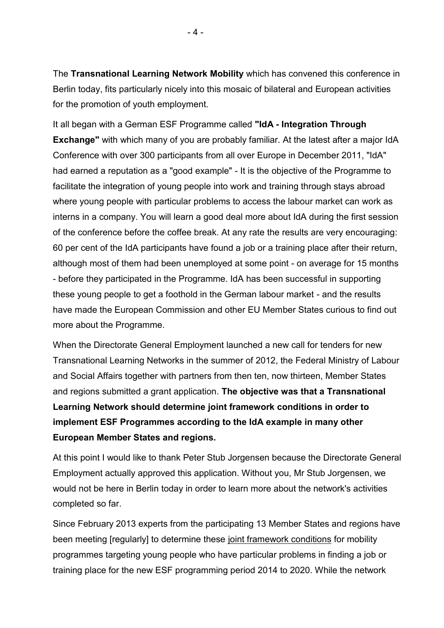The **Transnational Learning Network Mobility** which has convened this conference in Berlin today, fits particularly nicely into this mosaic of bilateral and European activities for the promotion of youth employment.

It all began with a German ESF Programme called **"IdA - Integration Through Exchange"** with which many of you are probably familiar. At the latest after a major IdA Conference with over 300 participants from all over Europe in December 2011, "IdA" had earned a reputation as a "good example" - It is the objective of the Programme to facilitate the integration of young people into work and training through stays abroad where young people with particular problems to access the labour market can work as interns in a company. You will learn a good deal more about IdA during the first session of the conference before the coffee break. At any rate the results are very encouraging: 60 per cent of the IdA participants have found a job or a training place after their return, although most of them had been unemployed at some point - on average for 15 months - before they participated in the Programme. IdA has been successful in supporting these young people to get a foothold in the German labour market - and the results have made the European Commission and other EU Member States curious to find out more about the Programme.

When the Directorate General Employment launched a new call for tenders for new Transnational Learning Networks in the summer of 2012, the Federal Ministry of Labour and Social Affairs together with partners from then ten, now thirteen, Member States and regions submitted a grant application. **The objective was that a Transnational Learning Network should determine joint framework conditions in order to implement ESF Programmes according to the IdA example in many other European Member States and regions.**

At this point I would like to thank Peter Stub Jorgensen because the Directorate General Employment actually approved this application. Without you, Mr Stub Jorgensen, we would not be here in Berlin today in order to learn more about the network's activities completed so far.

Since February 2013 experts from the participating 13 Member States and regions have been meeting [regularly] to determine these joint framework conditions for mobility programmes targeting young people who have particular problems in finding a job or training place for the new ESF programming period 2014 to 2020. While the network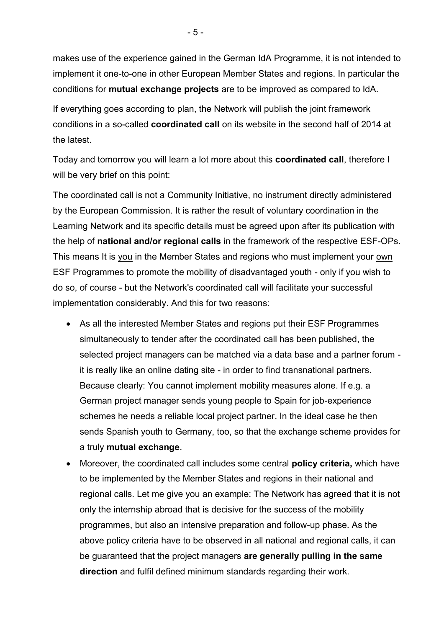makes use of the experience gained in the German IdA Programme, it is not intended to implement it one-to-one in other European Member States and regions. In particular the conditions for **mutual exchange projects** are to be improved as compared to IdA.

If everything goes according to plan, the Network will publish the joint framework conditions in a so-called **coordinated call** on its website in the second half of 2014 at the latest.

Today and tomorrow you will learn a lot more about this **coordinated call**, therefore I will be very brief on this point:

The coordinated call is not a Community Initiative, no instrument directly administered by the European Commission. It is rather the result of voluntary coordination in the Learning Network and its specific details must be agreed upon after its publication with the help of **national and/or regional calls** in the framework of the respective ESF-OPs. This means It is you in the Member States and regions who must implement your own ESF Programmes to promote the mobility of disadvantaged youth - only if you wish to do so, of course - but the Network's coordinated call will facilitate your successful implementation considerably. And this for two reasons:

- As all the interested Member States and regions put their ESF Programmes simultaneously to tender after the coordinated call has been published, the selected project managers can be matched via a data base and a partner forum it is really like an online dating site - in order to find transnational partners. Because clearly: You cannot implement mobility measures alone. If e.g. a German project manager sends young people to Spain for job-experience schemes he needs a reliable local project partner. In the ideal case he then sends Spanish youth to Germany, too, so that the exchange scheme provides for a truly **mutual exchange**.
- Moreover, the coordinated call includes some central **policy criteria,** which have to be implemented by the Member States and regions in their national and regional calls. Let me give you an example: The Network has agreed that it is not only the internship abroad that is decisive for the success of the mobility programmes, but also an intensive preparation and follow-up phase. As the above policy criteria have to be observed in all national and regional calls, it can be guaranteed that the project managers **are generally pulling in the same direction** and fulfil defined minimum standards regarding their work.